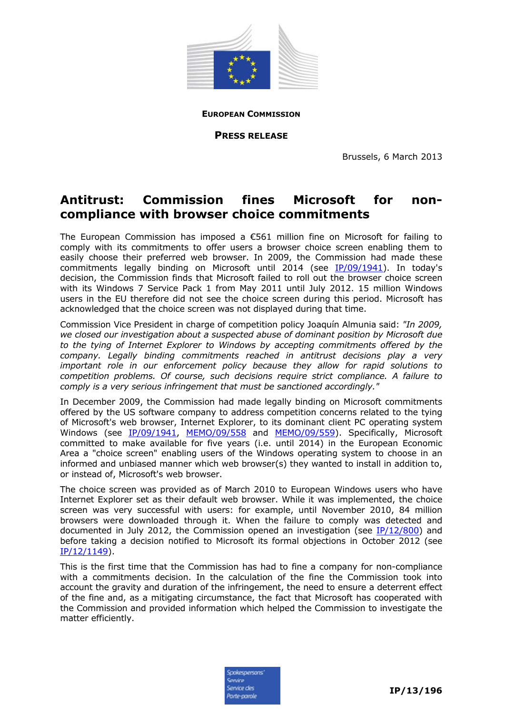

**EUROPEAN COMMISSION**

**PRESS RELEASE**

Brussels, 6 March 2013

## **Antitrust: Commission fines Microsoft for noncompliance with browser choice commitments**

The European Commission has imposed a €561 million fine on Microsoft for failing to comply with its commitments to offer users a browser choice screen enabling them to easily choose their preferred web browser. In 2009, the Commission had made these commitments legally binding on Microsoft until 2014 (see [IP/09/1941\)](http://europa.eu/rapid/pressReleasesAction.do?reference=IP/09/1941&format=HTML&aged=1&language=EN&guiLanguage=en). In today's decision, the Commission finds that Microsoft failed to roll out the browser choice screen with its Windows 7 Service Pack 1 from May 2011 until July 2012. 15 million Windows users in the EU therefore did not see the choice screen during this period. Microsoft has acknowledged that the choice screen was not displayed during that time.

Commission Vice President in charge of competition policy Joaquín Almunia said: *"In 2009, we closed our investigation about a suspected abuse of dominant position by Microsoft due to the tying of Internet Explorer to Windows by accepting commitments offered by the company. Legally binding commitments reached in antitrust decisions play a very important role in our enforcement policy because they allow for rapid solutions to competition problems. Of course, such decisions require strict compliance. A failure to comply is a very serious infringement that must be sanctioned accordingly."*

In December 2009, the Commission had made legally binding on Microsoft commitments offered by the US software company to address competition concerns related to the tying of Microsoft's web browser, Internet Explorer, to its dominant client PC operating system Windows (see [IP/09/1941,](http://europa.eu/rapid/pressReleasesAction.do?reference=IP/09/1941&format=HTML&aged=1&language=EN&guiLanguage=en) [MEMO/09/558](http://europa.eu/rapid/pressReleasesAction.do?reference=MEMO/09/558&format=HTML&aged=1&language=EN&guiLanguage=en) and [MEMO/09/559\)](http://europa.eu/rapid/pressReleasesAction.do?reference=MEMO/09/559&format=HTML&aged=1&language=EN&guiLanguage=en). Specifically, Microsoft committed to make available for five years (i.e. until 2014) in the European Economic Area a "choice screen" enabling users of the Windows operating system to choose in an informed and unbiased manner which web browser(s) they wanted to install in addition to, or instead of, Microsoft's web browser.

The choice screen was provided as of March 2010 to European Windows users who have Internet Explorer set as their default web browser. While it was implemented, the choice screen was very successful with users: for example, until November 2010, 84 million browsers were downloaded through it. When the failure to comply was detected and documented in July 2012, the Commission opened an investigation (see [IP/12/800\)](http://europa.eu/rapid/press-release_IP-12-800_en.htm) and before taking a decision notified to Microsoft its formal objections in October 2012 (see [IP/12/1149\)](http://europa.eu/rapid/press-release_IP-12-1149_en.htm).

This is the first time that the Commission has had to fine a company for non-compliance with a commitments decision. In the calculation of the fine the Commission took into account the gravity and duration of the infringement, the need to ensure a deterrent effect of the fine and, as a mitigating circumstance, the fact that Microsoft has cooperated with the Commission and provided information which helped the Commission to investigate the matter efficiently.